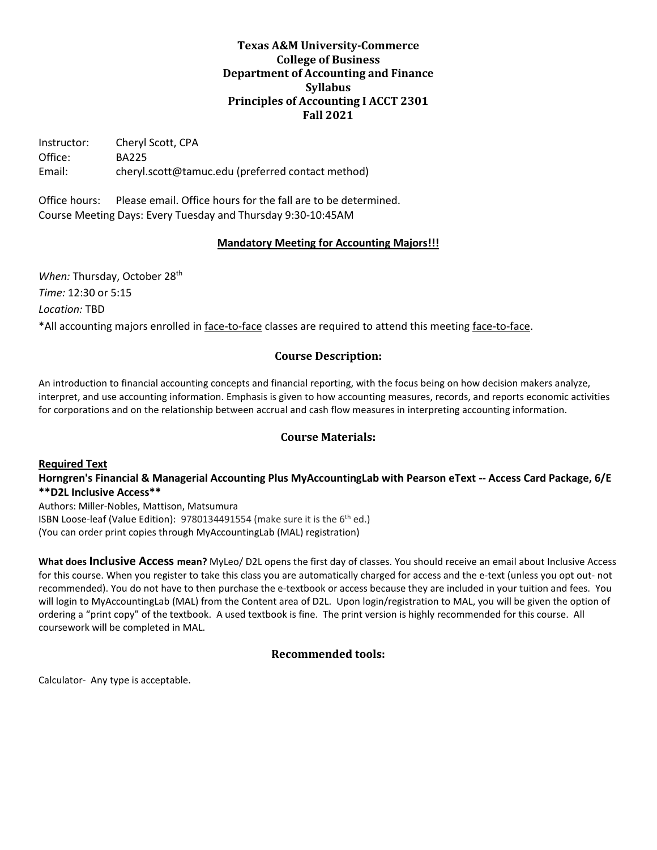# **Texas A&M University-Commerce College of Business Department of Accounting and Finance Syllabus Principles of Accounting I ACCT 2301 Fall 2021**

Instructor: Cheryl Scott, CPA Office: BA225 Email: cheryl.scott@tamuc.edu (preferred contact method)

Office hours: Please email. Office hours for the fall are to be determined. Course Meeting Days: Every Tuesday and Thursday 9:30-10:45AM

## **Mandatory Meeting for Accounting Majors!!!**

*When:* Thursday, October 28<sup>th</sup> *Time:* 12:30 or 5:15 *Location:* TBD \*All accounting majors enrolled in face-to-face classes are required to attend this meeting face-to-face.

# **Course Description:**

An introduction to financial accounting concepts and financial reporting, with the focus being on how decision makers analyze, interpret, and use accounting information. Emphasis is given to how accounting measures, records, and reports economic activities for corporations and on the relationship between accrual and cash flow measures in interpreting accounting information.

## **Course Materials:**

**Required Text**

**Horngren's Financial & Managerial Accounting Plus MyAccountingLab with Pearson eText -- Access Card Package, 6/E \*\*D2L Inclusive Access\*\***

Authors: Miller-Nobles, Mattison, Matsumura ISBN Loose-leaf (Value Edition): 9780134491554 (make sure it is the 6<sup>th</sup> ed.) (You can order print copies through MyAccountingLab (MAL) registration)

**What does Inclusive Access mean?** MyLeo/ D2L opens the first day of classes. You should receive an email about Inclusive Access for this course. When you register to take this class you are automatically charged for access and the e-text (unless you opt out- not recommended). You do not have to then purchase the e-textbook or access because they are included in your tuition and fees. You will login to MyAccountingLab (MAL) from the Content area of D2L. Upon login/registration to MAL, you will be given the option of ordering a "print copy" of the textbook. A used textbook is fine. The print version is highly recommended for this course. All coursework will be completed in MAL.

## **Recommended tools:**

Calculator- Any type is acceptable.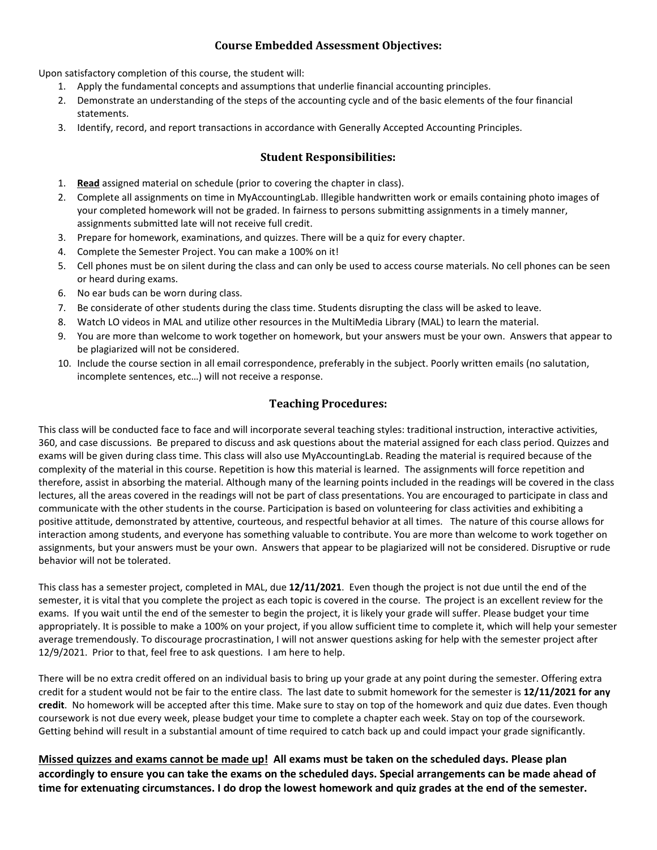# **Course Embedded Assessment Objectives:**

Upon satisfactory completion of this course, the student will:

- 1. Apply the fundamental concepts and assumptions that underlie financial accounting principles.
- 2. Demonstrate an understanding of the steps of the accounting cycle and of the basic elements of the four financial statements.
- 3. Identify, record, and report transactions in accordance with Generally Accepted Accounting Principles.

## **Student Responsibilities:**

- 1. **Read** assigned material on schedule (prior to covering the chapter in class).
- 2. Complete all assignments on time in MyAccountingLab. Illegible handwritten work or emails containing photo images of your completed homework will not be graded. In fairness to persons submitting assignments in a timely manner, assignments submitted late will not receive full credit.
- 3. Prepare for homework, examinations, and quizzes. There will be a quiz for every chapter.
- 4. Complete the Semester Project. You can make a 100% on it!
- 5. Cell phones must be on silent during the class and can only be used to access course materials. No cell phones can be seen or heard during exams.
- 6. No ear buds can be worn during class.
- 7. Be considerate of other students during the class time. Students disrupting the class will be asked to leave.
- 8. Watch LO videos in MAL and utilize other resources in the MultiMedia Library (MAL) to learn the material.
- 9. You are more than welcome to work together on homework, but your answers must be your own. Answers that appear to be plagiarized will not be considered.
- 10. Include the course section in all email correspondence, preferably in the subject. Poorly written emails (no salutation, incomplete sentences, etc…) will not receive a response.

# **Teaching Procedures:**

This class will be conducted face to face and will incorporate several teaching styles: traditional instruction, interactive activities, 360, and case discussions. Be prepared to discuss and ask questions about the material assigned for each class period. Quizzes and exams will be given during class time. This class will also use MyAccountingLab. Reading the material is required because of the complexity of the material in this course. Repetition is how this material is learned. The assignments will force repetition and therefore, assist in absorbing the material. Although many of the learning points included in the readings will be covered in the class lectures, all the areas covered in the readings will not be part of class presentations. You are encouraged to participate in class and communicate with the other students in the course. Participation is based on volunteering for class activities and exhibiting a positive attitude, demonstrated by attentive, courteous, and respectful behavior at all times. The nature of this course allows for interaction among students, and everyone has something valuable to contribute. You are more than welcome to work together on assignments, but your answers must be your own. Answers that appear to be plagiarized will not be considered. Disruptive or rude behavior will not be tolerated.

This class has a semester project, completed in MAL, due **12/11/2021**. Even though the project is not due until the end of the semester, it is vital that you complete the project as each topic is covered in the course. The project is an excellent review for the exams. If you wait until the end of the semester to begin the project, it is likely your grade will suffer. Please budget your time appropriately. It is possible to make a 100% on your project, if you allow sufficient time to complete it, which will help your semester average tremendously. To discourage procrastination, I will not answer questions asking for help with the semester project after 12/9/2021. Prior to that, feel free to ask questions. I am here to help.

There will be no extra credit offered on an individual basis to bring up your grade at any point during the semester. Offering extra credit for a student would not be fair to the entire class. The last date to submit homework for the semester is **12/11/2021 for any credit**. No homework will be accepted after this time. Make sure to stay on top of the homework and quiz due dates. Even though coursework is not due every week, please budget your time to complete a chapter each week. Stay on top of the coursework. Getting behind will result in a substantial amount of time required to catch back up and could impact your grade significantly.

**Missed quizzes and exams cannot be made up! All exams must be taken on the scheduled days. Please plan accordingly to ensure you can take the exams on the scheduled days. Special arrangements can be made ahead of time for extenuating circumstances. I do drop the lowest homework and quiz grades at the end of the semester.**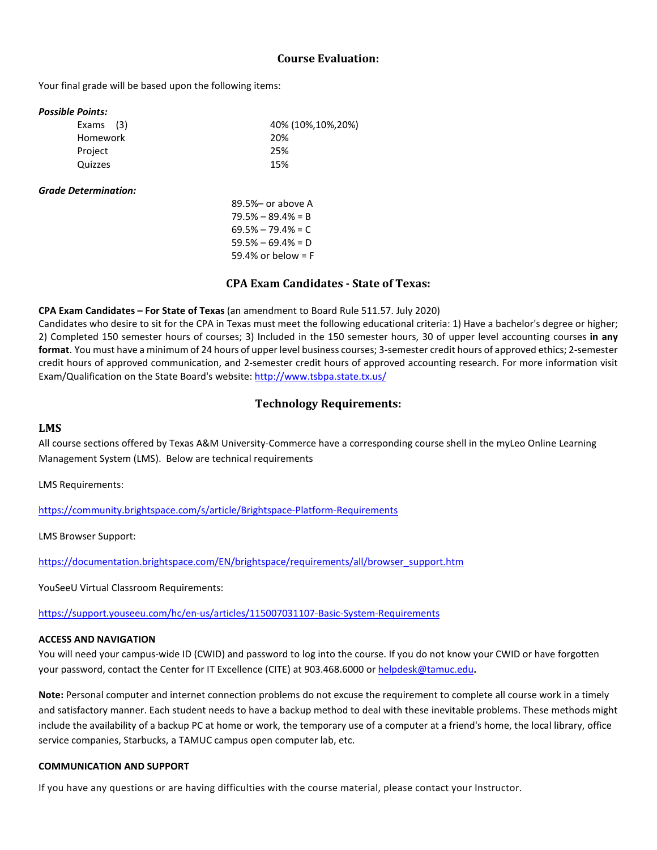## **Course Evaluation:**

Your final grade will be based upon the following items:

#### *Possible Points:*

| Exams (3) | 40% (10%, 10%, 20%) |
|-----------|---------------------|
| Homework  | 20%                 |
| Project   | 25%                 |
| Quizzes   | 15%                 |
|           |                     |

#### *Grade Determination:*

89.5%– or above A  $79.5\% - 89.4\% = B$  $69.5\% - 79.4\% = C$  $59.5% - 69.4% = D$ 59.4% or below = F

## **CPA Exam Candidates - State of Texas:**

### **CPA Exam Candidates – For State of Texas** (an amendment to Board Rule 511.57. July 2020)

Candidates who desire to sit for the CPA in Texas must meet the following educational criteria: 1) Have a bachelor's degree or higher; 2) Completed 150 semester hours of courses; 3) Included in the 150 semester hours, 30 of upper level accounting courses **in any format**. You must have a minimum of 24 hours of upper level business courses; 3-semester credit hours of approved ethics; 2-semester credit hours of approved communication, and 2-semester credit hours of approved accounting research. For more information visit Exam/Qualification on the State Board's website: <http://www.tsbpa.state.tx.us/>

## **Technology Requirements:**

#### **LMS**

All course sections offered by Texas A&M University-Commerce have a corresponding course shell in the myLeo Online Learning Management System (LMS). Below are technical requirements

LMS Requirements:

<https://community.brightspace.com/s/article/Brightspace-Platform-Requirements>

LMS Browser Support:

[https://documentation.brightspace.com/EN/brightspace/requirements/all/browser\\_support.htm](https://documentation.brightspace.com/EN/brightspace/requirements/all/browser_support.htm)

YouSeeU Virtual Classroom Requirements:

<https://support.youseeu.com/hc/en-us/articles/115007031107-Basic-System-Requirements>

#### **ACCESS AND NAVIGATION**

You will need your campus-wide ID (CWID) and password to log into the course. If you do not know your CWID or have forgotten your password, contact the Center for IT Excellence (CITE) at 903.468.6000 or [helpdesk@tamuc.edu](mailto:helpdesk@tamuc.edu)**.**

**Note:** Personal computer and internet connection problems do not excuse the requirement to complete all course work in a timely and satisfactory manner. Each student needs to have a backup method to deal with these inevitable problems. These methods might include the availability of a backup PC at home or work, the temporary use of a computer at a friend's home, the local library, office service companies, Starbucks, a TAMUC campus open computer lab, etc.

#### **COMMUNICATION AND SUPPORT**

If you have any questions or are having difficulties with the course material, please contact your Instructor.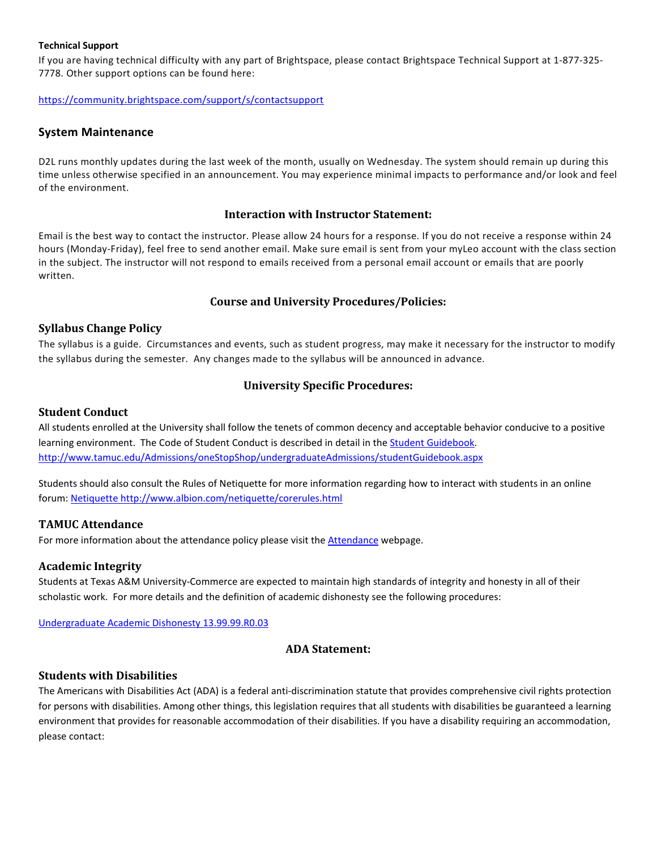#### **Technical Support**

If you are having technical difficulty with any part of Brightspace, please contact Brightspace Technical Support at 1-877-325- 7778. Other support options can be found here:

<https://community.brightspace.com/support/s/contactsupport>

### **System Maintenance**

D2L runs monthly updates during the last week of the month, usually on Wednesday. The system should remain up during this time unless otherwise specified in an announcement. You may experience minimal impacts to performance and/or look and feel of the environment.

### **Interaction with Instructor Statement:**

Email is the best way to contact the instructor. Please allow 24 hours for a response. If you do not receive a response within 24 hours (Monday-Friday), feel free to send another email. Make sure email is sent from your myLeo account with the class section in the subject. The instructor will not respond to emails received from a personal email account or emails that are poorly written.

#### **Course and University Procedures/Policies:**

#### **Syllabus Change Policy**

The syllabus is a guide. Circumstances and events, such as student progress, may make it necessary for the instructor to modify the syllabus during the semester. Any changes made to the syllabus will be announced in advance.

#### **University Specific Procedures:**

#### **Student Conduct**

All students enrolled at the University shall follow the tenets of common decency and acceptable behavior conducive to a positive learning environment. The Code of Student Conduct is described in detail in th[e Student Guidebook.](http://www.tamuc.edu/Admissions/oneStopShop/undergraduateAdmissions/studentGuidebook.aspx) <http://www.tamuc.edu/Admissions/oneStopShop/undergraduateAdmissions/studentGuidebook.aspx>

Students should also consult the Rules of Netiquette for more information regarding how to interact with students in an online forum: [Netiquette](http://www.albion.com/netiquette/corerules.html) <http://www.albion.com/netiquette/corerules.html>

#### **TAMUC Attendance**

For more information about the attendance policy please visit th[e Attendance](http://www.tamuc.edu/admissions/registrar/generalInformation/attendance.aspx) webpage.

#### **Academic Integrity**

Students at Texas A&M University-Commerce are expected to maintain high standards of integrity and honesty in all of their scholastic work. For more details and the definition of academic dishonesty see the following procedures:

[Undergraduate Academic Dishonesty 13.99.99.R0.03](http://www.tamuc.edu/aboutUs/policiesProceduresStandardsStatements/rulesProcedures/13students/undergraduates/13.99.99.R0.03UndergraduateAcademicDishonesty.pdf)

### **ADA Statement:**

#### **Students with Disabilities**

The Americans with Disabilities Act (ADA) is a federal anti-discrimination statute that provides comprehensive civil rights protection for persons with disabilities. Among other things, this legislation requires that all students with disabilities be guaranteed a learning environment that provides for reasonable accommodation of their disabilities. If you have a disability requiring an accommodation, please contact: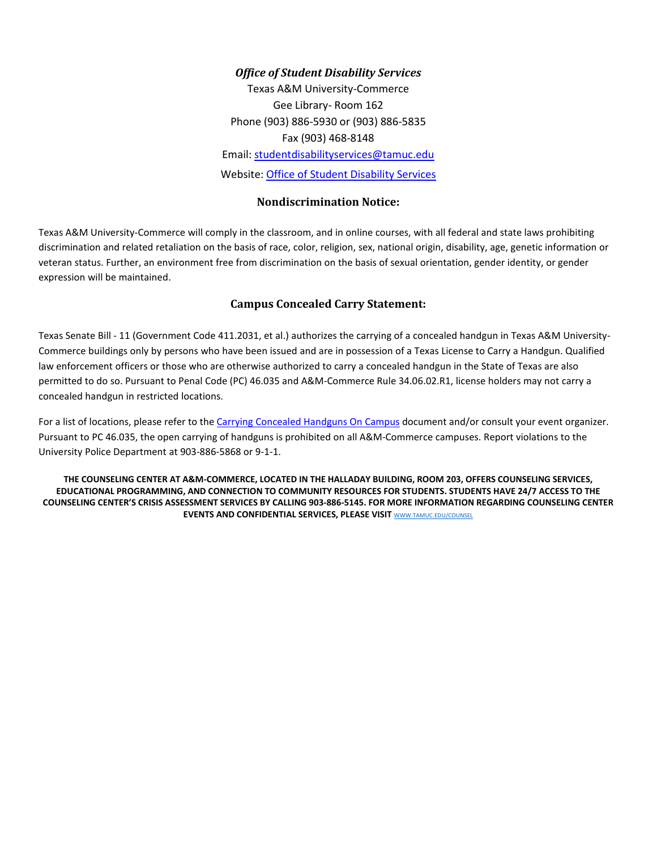## *Office of Student Disability Services*

Texas A&M University-Commerce Gee Library- Room 162 Phone (903) 886-5930 or (903) 886-5835 Fax (903) 468-8148 Email: [studentdisabilityservices@tamuc.edu](mailto:studentdisabilityservices@tamuc.edu) Website: [Office of Student Disability](http://inside.tamuc.edu/campuslife/campusServices/StudentDisabilityServices/default.aspx) Services

### **Nondiscrimination Notice:**

Texas A&M University-Commerce will comply in the classroom, and in online courses, with all federal and state laws prohibiting discrimination and related retaliation on the basis of race, color, religion, sex, national origin, disability, age, genetic information or veteran status. Further, an environment free from discrimination on the basis of sexual orientation, gender identity, or gender expression will be maintained.

# **Campus Concealed Carry Statement:**

Texas Senate Bill - 11 (Government Code 411.2031, et al.) authorizes the carrying of a concealed handgun in Texas A&M University-Commerce buildings only by persons who have been issued and are in possession of a Texas License to Carry a Handgun. Qualified law enforcement officers or those who are otherwise authorized to carry a concealed handgun in the State of Texas are also permitted to do so. Pursuant to Penal Code (PC) 46.035 and A&M-Commerce Rule 34.06.02.R1, license holders may not carry a concealed handgun in restricted locations.

For a list of locations, please refer to the [Carrying Concealed Handguns On Campus](http://www.tamuc.edu/aboutUs/policiesProceduresStandardsStatements/rulesProcedures/34SafetyOfEmployeesAndStudents/34.06.02.R1.pdf) document and/or consult your event organizer. Pursuant to PC 46.035, the open carrying of handguns is prohibited on all A&M-Commerce campuses. Report violations to the University Police Department at 903-886-5868 or 9-1-1.

**THE COUNSELING CENTER AT A&M-COMMERCE, LOCATED IN THE HALLADAY BUILDING, ROOM 203, OFFERS COUNSELING SERVICES, EDUCATIONAL PROGRAMMING, AND CONNECTION TO COMMUNITY RESOURCES FOR STUDENTS. STUDENTS HAVE 24/7 ACCESS TO THE COUNSELING CENTER'S CRISIS ASSESSMENT SERVICES BY CALLING 903-886-5145. FOR MORE INFORMATION REGARDING COUNSELING CENTER EVENTS AND CONFIDENTIAL SERVICES, PLEASE VISIT** [WWW.TAMUC.EDU/COUNSEL](https://outlook.tamuc.edu/owa/redir.aspx?C=3LvAqKtng7Qw4pvIFm3I-l0-_aujSnLpl_YMLt0_8MUhYLGTf17ZCA..&URL=http%3a%2f%2fwww.tamuc.edu%2fcounsel)